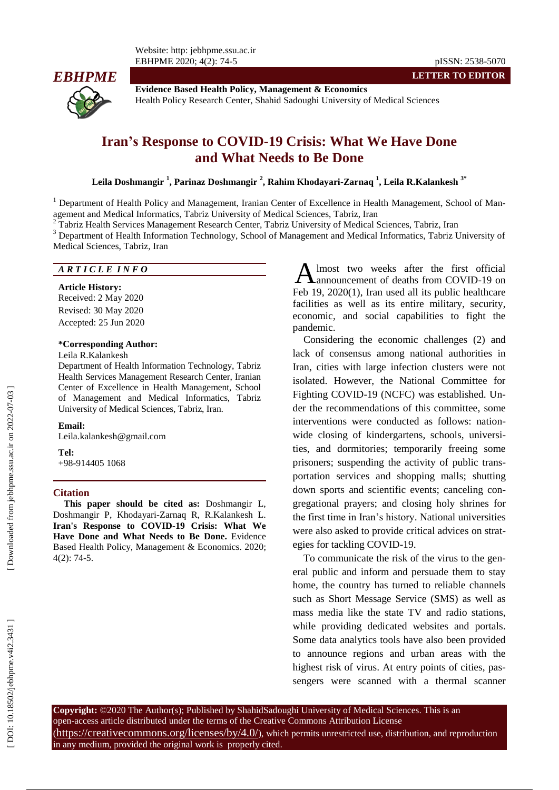

**Evidence Based Health Policy, Management & Economics** Health Policy Research Center, Shahid Sadoughi University of Medical Sciences

# Iran's Response to COVID-19 Crisis: What We Have Done **and What Needs to Be Done**

**Leila Doshmangir 1 , Parinaz Doshmangir 2 , Rahim Khodayari -Zarnaq 1 , Leila R.Kalankesh 3 \***

<sup>1</sup> Department of Health Policy and Management, Iranian Center of Excellence in Health Management, School of Management and Medical Informatics, Tabriz University of Medical Sciences, Tabriz, Iran<br>
<sup>2</sup> Tabriz Health Services Management Research Center, Tabriz University of Medical Sciences, Tabriz, Iran<br>
<sup>3</sup> Department of Health Inf

Medical Sciences, Tabriz, Iran

### *A R T I C L E I N F O*

**Article History:** Received: 2 May 2020 Revised: 30 May 2020 Accepted: 25 Jun 2020

### **\*Corresponding Author:**

## Leila R.Kalankesh

Department of Health Information Technology, Tabriz Health Services Management Research Center, Iranian Center of Excellence in Health Management, School of Management and Medical Informatics, Tabriz University of Medical Sciences, Tabriz, Iran .

#### **Email:**

Leila.kalankesh@gmail.com

#### **Tel:**

+98 -914405 1068

### **Citation**

**This paper should be cited as:** Doshmangir L, Doshmangir P, Khodayari -Zarnaq R, R.Kalankesh L. **Iran's Response to COVID -19 Crisis: What We Have Done and What Needs to Be Done .** Evidence Based Health Policy, Management & Ec onomics. 2020; 4 ( 2): 74 -5.

lmost two weeks after the first official announcement of deaths from COVID -19 on Feb 19, 2020(1) , Iran used all its public healthcare facilities as well as its entire military, security , economic , and social capabilities to fight the pandemic.

**LETTER TO EDITOR**

Considering the economic challenges (2) and lack of consensus among national authorities in Iran, cities with large infection clusters were not isolated. However, the National Committee for Fighting COVID -19 (N CFC) was established. Under the recommendations of this committee, some interventions were conducted as follows: nationwide closing of kindergartens, schools, universities, and dormitories; temporarily freeing some prisoners ; suspending the activity of public transportation services and shopping malls; shutting down sports and scientific events ; canceling congregational prayers; and closing holy shrines for the first time in Iran's history. National universities were also asked to provide critical advice s on strategies for tackling COVID-19. A lmost two weeks after the first official<br>Feb 19, 2020(1), Iran used all its public healthcare<br>Feb 19, 2020(1), Iran used all its public healthcare<br>facilities as well as its entire military, security,<br>economic, and social

To communicate the risk of the virus to the general public and inform and persuade them to stay home, the country has turned to reliable channels such as Short Message Service (SMS) as well as mass media like the state TV and radio stations, while providing dedicated websites and portals. Some data analytics tools have also been provided to announce regions and urban areas with the highest risk of virus. At entry points of cities, pas-